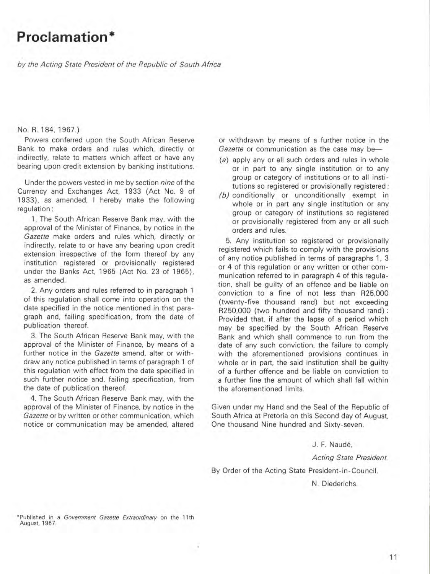# **Proclamation \***

bV the Acting State President of the Republic of South Africa

#### No. R. 184. 1967)

Powers conferred upon the South African Reserve Bank to make orders and rules which, directly or indirectly, relate to matters which affect or have any bearing upon credit extension by banking institutions.

Under the powers vested in me by section nine of the Currency and Exchanges Act. 1933 (Act No. 9 of 1933). as amended. I hereby make the following regulation:

1. The South African Reserve Bank may. with the approval of the Minister of Finance. by notice in the Gazette make orders and rules which, directly or indirectly. relate to or have any bearing upon credit extension irrespective of the form thereof by any institution registered or provisionally registered under the Banks Act. 1965 (Act No. 23 of 1965). as amended.

2. Any orders and rules referred to in paragraph 1 of this regulation shall come into operation on the date specified in the notice mentioned in that paragraph and, failing specification, from the date of publication thereof.

3. The South African Reserve Bank may. with the approval of the Minister of Finance. by means of a further notice in the *Gazette* amend, alter or withdraw any notice published in terms of paragraph 1 of this regulation with effect from the date specified in such further notice and. failing specification. from the date of publication thereof.

4. The South African Reserve Bank may. with the approval of the Minister of Finance. by notice in the Gazette or by written or other communication. which notice or communication may be amended. altered

or withdrawn by means of a further notice in the Gazette or communication as the case may be-

- (a) apply any or all such orders and rules in whole or in part to any single institution or to any group or category of institutions or to all institutions so registered or provisionally registered ;
- $(b)$  conditionally or unconditionally exempt in whole or in part any single institution or any group or category of institutions so registered or provisionally registered from any or all such orders and rules.

5. Any institution so registered or provisionally registered which fails to comply with the provisions of any notice published in terms of paragraphs 1. 3 or 4 of this regulation or any written or other communication referred to in paragraph 4 of this regulation. shall be guilty of an offence and be liable on conviction to a fine of not less than R25.000 (twenty-five thousand rand) but not exceeding R250.000 (two hundred and fifty thousand rand) ; Provided that, if after the lapse of a period which may be specified by the South African Reserve Bank and which shall commence to run from the date of any such conviction, the failure to comply with the aforementioned provisions continues in whole or in part, the said institution shall be guilty of a further offence and be liable on conviction to a further fine the amount of which shall fall within the aforementioned limits.

Given under my Hand and the Seal of the Republic of South Africa at Pretorla on this Second day of August. One thousand Nine hundred and Sixty-seven.

J. F. Naude.

Acting State President.

By Order of the Acting State President-in-Council.

N. Diederichs .

**• Published in a** *Government Gazette Extraordinary* **on the 11 th August, 1967.**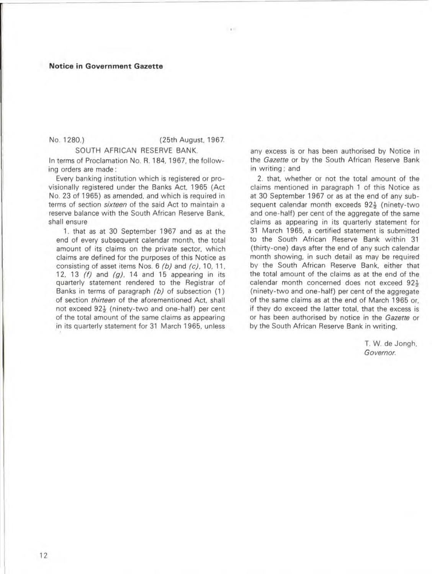### **Notice in Government Gazette**

No. 1280.) (25th August. 1967.

 $\sim$ 

SOUTH AFRICAN RESERVE BANK.

In terms of Proclamation No. R. 184. 1967. the following orders are made :

Every banking institution which is registered or provisionally registered under the Banks Act. 1965 (Act No. 23 of 1965) as amended. and which is required in terms of section *sixteen* of the said Act to maintain a reserve balance with the South African Reserve Bank. shall ensure

1. that as at 30 September 1967 and as at the end of every subsequent calendar month. the total amount of its claims on the private sector. which claims are defined for the purposes of this Notice as consisting of asset items Nos. 6 (b) and (c). 10. 11. 12. 13  $(f)$  and  $(g)$ , 14 and 15 appearing in its quarterly statement rendered to the Registrar of Banks in terms of paragraph (b) of subsection (1) of section *thirteen* of the aforementioned Act. shall not exceed  $92\frac{1}{2}$  (ninety-two and one-half) per cent of the total amount of the same claims as appearing in its quarterly statement for 31 March 1965. unless

any excess is or has been authorised by Notice in the *Gazette* or by the South African Reserve Bank in writing : and

2. that. whether or not the total amount of the claims mentioned in paragraph 1 of this Notice as at 30 September 1967 or as at the end of any subsequent calendar month exceeds 92 $\frac{1}{2}$  (ninety-two and one-half) per cent of the aggregate of the same claims as appearing in its quarterly statement for 31 March 1965. a certified statement is submitted to the South African Reserve Bank within 31 (thirty-one) days after the end of any such calendar month showing. in such detail as may be required by the South African Reserve Bank. either that the total amount of the claims as at the end of the calendar month concerned does not exceed 92 $\frac{1}{2}$ (ninety-two and one-half) per cent of the aggregate of the same claims as at the end of March 1965 or. if they do exceed the latter total. that the excess is or has been authorised by notice in the *Gazette* or by the South African Reserve Bank in writing.

> T. W. de Jongh. *Governor.*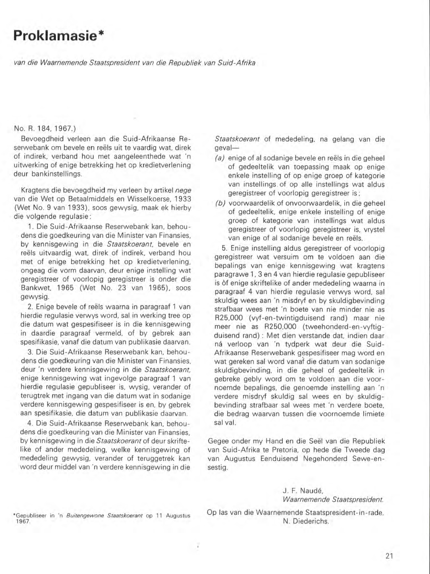# **Proklamasie\***

*van die Waarnemende Staatspresident van die Repub/iek van Suid-Afrika* 

### No. R. 184, 1967.)

Bevoegdheid verleen aan die Suid-Afrikaanse Re serwebank om bevele en reëls uit te vaardig wat, direk of indirek, verband hou met aangeleenthede wat 'n uitwerking of enige betrekking het op kredietverlening deur bankinstellings.

Kragtens die bevoegdheid my verleen by artikel *nege*  van die Wet op Betaalmiddels en Wisselkoerse, 1933 (Wet NO. 9 van 1933). soos gewysig, maak ek hierby die volgende regulasie:

1. Die Suid-Afrikaanse Reserwebank kan, behou dens die goedkeuring van die Minister van Finansies, by kennisgewing in die *Staatskoerant,* bevele en reëls uitvaardig wat, direk of indirek, verband hou met of enige betrekking het op kredietverlening, ongeag die vorm daarvan, deur enige instelling wat geregistreer of voorlopig geregistreer is onder die Bankwet. 1965 (Wet No. 23 van 1965). soos gewysig.

2. Enige bevele of reëls waarna in paragraaf 1 van hierdie regulasie verwys word, sal in werking tree op die datum wat gespesifiseer is in die kennisgewing in daardie paragraaf vermeld, of by gebrek aan spesifikasie, vanaf die datum van publikasie daarvan.

3. Die Suid-Afrikaanse Reserwebank kan, behoudens die goedkeuring van die Minister van Finansies, deur 'n verdere kennisgewing in die *Staatskoerant,*  enige kennisgewing wat ingevolge paragraaf 1 van hierdie regulasie gepubliseer is, wysig, verander of terugtrek met ingang van die datum wat in sodanige verdere kennisgewing gespesifiseer is en, by gebrek aan spesifikasie, die datum van publikasie daarvan.

4. Die Suid-Afrikaanse Reserwebank kan, behou dens die goedkeuring van die Minister van Finansies. by kennisgewing in die *Staatskoerant* of deur skriftelike of ander mededeling, welke kennisgewing of mededeling gewysig, verander of teruggetrek kan word deur middel van 'n verdere kennisgewing in die

*Staatskoerant* of mededeling, na gelang van die geval-

- $(a)$  enige of al sodanige bevele en reëls in die geheel of gedeeltelik van toepassing maak op enige enkele instelling of op enige groep of kategorie van instellings . of op aile instellings wat aldus geregistreer of voorlopig geregistreer is;
- (b) voorwaardelik of onvoorwaardelik, in die geheel of gedeeltelik, enige enkele instelling of enige groep of kategorie van instellings wat aldus geregistreer of voorlopig geregistreer is, vrystel van enige of al sodanige bevele en reëls.

5. Enige instelling aldus geregistreer of voorlopig geregistreer wat versuim om te voldoen aan die bepalings van enige kennisgewing wat kragtens paragrawe 1, 3 en 4 van hierdie regulasie gepubliseer is of enige skriftelike of ander mededeling waarna in paragraaf 4 van hierdie regulasie verwys word, sal skuldig wees aan 'n misdryf en by skuldigbevinding strafbaar wees met 'n boete van nie minder nie as R25,OOO (vyf-en-twintigduisend rand) maar nie meer nie as R250,OOO (tweehonderd-en-vyftigduisend rand) ; Met dien verstande dat. indien daar ná verloop van 'n tydperk wat deur die Suid-Afrikaanse Reserwebank gespesifiseer mag word en wat gereken sal word vanaf die datum van sodanige skuldigbevinding, in die geheel of gedeeltelik in gebreke gebly word om te voldoen aan die voornoemde bepalings, die genoemde instelling aan 'n verdere misdryf skuldig sal wees en by skuldigbevinding strafbaar sal wees met 'n verdere boete, die bedrag waarvan tussen die voornoemde limiete sal val.

Gegee onder my Hand en die Seel van die Republiek van Suid-Afrika te Pretoria, op hede die Tweede dag van Augustus Eenduisend Negehonderd Sewe-ensestig.

## J. F. Naudé, *Waarnemende Staatspresident.*

**\*Gepubtiseer in 'n Buitengewone Staatskoerant ap 11 Augustus**  1967.

Op las van die Waarnemende Staatspresident-in-rade. N. Diederichs.